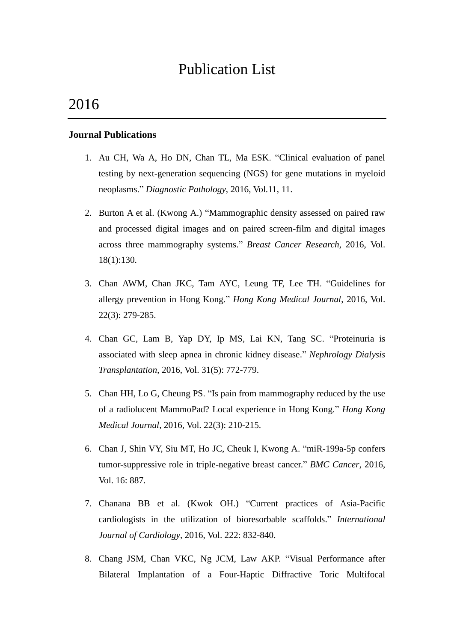# Publication List

# 2016

## **Journal Publications**

- 1. Au CH, Wa A, Ho DN, Chan TL, Ma ESK. "Clinical evaluation of panel testing by next-generation sequencing (NGS) for gene mutations in myeloid neoplasms." *Diagnostic Pathology*, 2016, Vol.11, 11.
- 2. Burton A et al. (Kwong A.) "Mammographic density assessed on paired raw and processed digital images and on paired screen-film and digital images across three mammography systems." *Breast Cancer Research*, 2016, Vol. 18(1):130.
- 3. Chan AWM, Chan JKC, Tam AYC, Leung TF, Lee TH. "Guidelines for allergy prevention in Hong Kong." *Hong Kong Medical Journal*, 2016, Vol. 22(3): 279-285.
- 4. Chan GC, Lam B, Yap DY, Ip MS, Lai KN, Tang SC. "Proteinuria is associated with sleep apnea in chronic kidney disease." *Nephrology Dialysis Transplantation*, 2016, Vol. 31(5): 772-779.
- 5. Chan HH, Lo G, Cheung PS. "Is pain from mammography reduced by the use of a radiolucent MammoPad? Local experience in Hong Kong." *Hong Kong Medical Journal*, 2016, Vol. 22(3): 210-215.
- 6. Chan J, Shin VY, Siu MT, Ho JC, Cheuk I, Kwong A. "miR-199a-5p confers tumor-suppressive role in triple-negative breast cancer." *BMC Cancer*, 2016, Vol. 16: 887.
- 7. Chanana BB et al. (Kwok OH.) "Current practices of Asia-Pacific cardiologists in the utilization of bioresorbable scaffolds." *International Journal of Cardiology*, 2016, Vol. 222: 832-840.
- 8. Chang JSM, Chan VKC, Ng JCM, Law AKP. "Visual Performance after Bilateral Implantation of a Four-Haptic Diffractive Toric Multifocal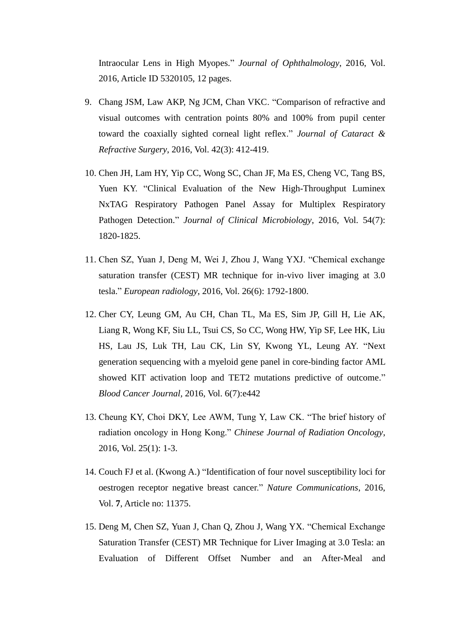Intraocular Lens in High Myopes." *Journal of Ophthalmology*, 2016, Vol. 2016, Article ID 5320105, 12 pages.

- 9. Chang JSM, Law AKP, Ng JCM, Chan VKC. "Comparison of refractive and visual outcomes with centration points 80% and 100% from pupil center toward the coaxially sighted corneal light reflex." *Journal of Cataract & Refractive Surgery*, 2016, Vol. 42(3): 412-419.
- 10. Chen JH, Lam HY, Yip CC, Wong SC, Chan JF, Ma ES, Cheng VC, Tang BS, Yuen KY. "Clinical Evaluation of the New High-Throughput Luminex NxTAG Respiratory Pathogen Panel Assay for Multiplex Respiratory Pathogen Detection." *Journal of Clinical Microbiology*, 2016, Vol. 54(7): 1820-1825.
- 11. Chen SZ, Yuan J, Deng M, Wei J, Zhou J, Wang YXJ. "Chemical exchange saturation transfer (CEST) MR technique for in-vivo liver imaging at 3.0 tesla." *European radiology*, 2016, Vol. 26(6): 1792-1800.
- 12. Cher CY, Leung GM, Au CH, Chan TL, Ma ES, Sim JP, Gill H, Lie AK, Liang R, Wong KF, Siu LL, Tsui CS, So CC, Wong HW, Yip SF, Lee HK, Liu HS, Lau JS, Luk TH, Lau CK, Lin SY, Kwong YL, Leung AY. "Next generation sequencing with a myeloid gene panel in core-binding factor AML showed KIT activation loop and TET2 mutations predictive of outcome." *Blood Cancer Journal,* 2016, Vol. 6(7):e442
- 13. Cheung KY, Choi DKY, Lee AWM, Tung Y, Law CK. "The brief history of radiation oncology in Hong Kong." *Chinese Journal of Radiation Oncology*, 2016, Vol. 25(1): 1-3.
- 14. Couch FJ et al. (Kwong A.) "Identification of four novel susceptibility loci for oestrogen receptor negative breast cancer." *Nature Communications*, 2016, Vol. **7**, Article no: 11375.
- 15. Deng M, Chen SZ, Yuan J, Chan Q, Zhou J, Wang YX. "Chemical Exchange Saturation Transfer (CEST) MR Technique for Liver Imaging at 3.0 Tesla: an Evaluation of Different Offset Number and an After-Meal and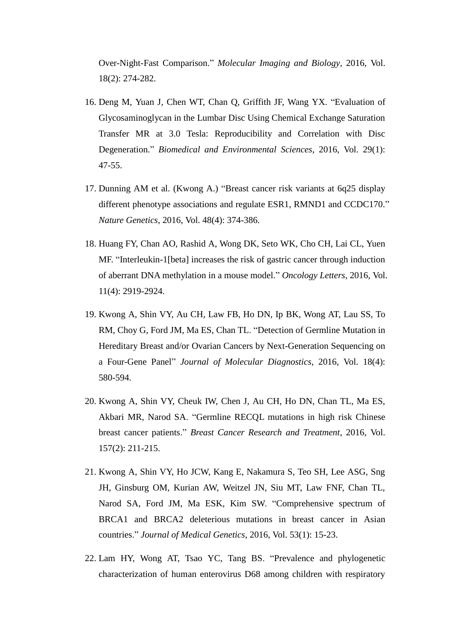Over-Night-Fast Comparison." *Molecular Imaging and Biology*, 2016, Vol. 18(2): 274-282.

- 16. Deng M, Yuan J, Chen WT, Chan Q, Griffith JF, Wang YX. "Evaluation of Glycosaminoglycan in the Lumbar Disc Using Chemical Exchange Saturation Transfer MR at 3.0 Tesla: Reproducibility and Correlation with Disc Degeneration." *Biomedical and Environmental Sciences*, 2016, Vol. 29(1): 47-55.
- 17. Dunning AM et al. (Kwong A.) "Breast cancer risk variants at 6q25 display different phenotype associations and regulate ESR1, RMND1 and CCDC170." *Nature Genetics*, 2016, Vol. 48(4): 374-386.
- 18. Huang FY, Chan AO, Rashid A, Wong DK, Seto WK, Cho CH, Lai CL, Yuen MF. "Interleukin-1[beta] increases the risk of gastric cancer through induction of aberrant DNA methylation in a mouse model." *Oncology Letters*, 2016, Vol. 11(4): 2919-2924.
- 19. Kwong A, Shin VY, Au CH, Law FB, Ho DN, Ip BK, Wong AT, Lau SS, To RM, Choy G, Ford JM, Ma ES, Chan TL. "Detection of Germline Mutation in Hereditary Breast and/or Ovarian Cancers by Next-Generation Sequencing on a Four-Gene Panel" *Journal of Molecular Diagnostics*, 2016, Vol. 18(4): 580-594.
- 20. Kwong A, Shin VY, Cheuk IW, Chen J, Au CH, Ho DN, Chan TL, Ma ES, Akbari MR, Narod SA. "Germline RECQL mutations in high risk Chinese breast cancer patients." *Breast Cancer Research and Treatment*, 2016, Vol. 157(2): 211-215.
- 21. Kwong A, Shin VY, Ho JCW, Kang E, Nakamura S, Teo SH, Lee ASG, Sng JH, Ginsburg OM, Kurian AW, Weitzel JN, Siu MT, Law FNF, Chan TL, Narod SA, Ford JM, Ma ESK, Kim SW. "Comprehensive spectrum of BRCA1 and BRCA2 deleterious mutations in breast cancer in Asian countries." *Journal of Medical Genetics*, 2016, Vol. 53(1): 15-23.
- 22. Lam HY, Wong AT, Tsao YC, Tang BS. "Prevalence and phylogenetic characterization of human enterovirus D68 among children with respiratory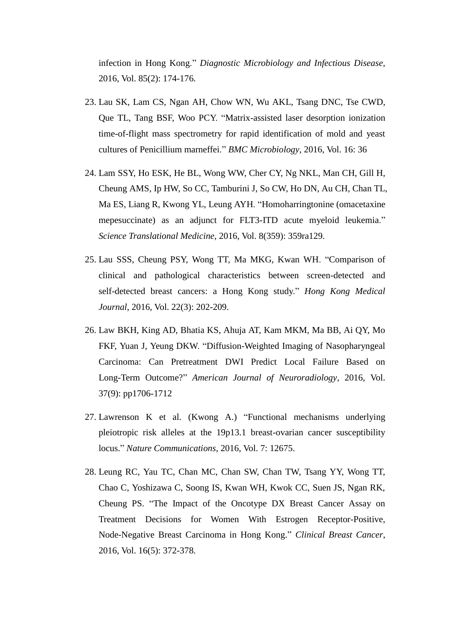infection in Hong Kong." *Diagnostic Microbiology and Infectious Disease*, 2016, Vol. 85(2): 174-176.

- 23. Lau SK, Lam CS, Ngan AH, Chow WN, Wu AKL, Tsang DNC, Tse CWD, Que TL, Tang BSF, Woo PCY. "Matrix-assisted laser desorption ionization time-of-flight mass spectrometry for rapid identification of mold and yeast cultures of Penicillium marneffei." *BMC Microbiology*, 2016, Vol. 16: 36
- 24. Lam SSY, Ho ESK, He BL, Wong WW, Cher CY, Ng NKL, Man CH, Gill H, Cheung AMS, Ip HW, So CC, Tamburini J, So CW, Ho DN, Au CH, Chan TL, Ma ES, Liang R, Kwong YL, Leung AYH. "Homoharringtonine (omacetaxine mepesuccinate) as an adjunct for FLT3-ITD acute myeloid leukemia." *Science Translational Medicine*, 2016, Vol. 8(359): 359ra129.
- 25. Lau SSS, Cheung PSY, Wong TT, Ma MKG, Kwan WH. "Comparison of clinical and pathological characteristics between screen-detected and self-detected breast cancers: a Hong Kong study." *Hong Kong Medical Journal*, 2016, Vol. 22(3): 202-209.
- 26. Law BKH, King AD, Bhatia KS, Ahuja AT, Kam MKM, Ma BB, Ai QY, Mo FKF, Yuan J, Yeung DKW. "Diffusion-Weighted Imaging of Nasopharyngeal Carcinoma: Can Pretreatment DWI Predict Local Failure Based on Long-Term Outcome?" *American Journal of Neuroradiology*, 2016, Vol. 37(9): pp1706-1712
- 27. Lawrenson K et al. (Kwong A.) "Functional mechanisms underlying pleiotropic risk alleles at the 19p13.1 breast-ovarian cancer susceptibility locus." *Nature Communications*, 2016, Vol. 7: 12675.
- 28. Leung RC, Yau TC, Chan MC, Chan SW, Chan TW, Tsang YY, Wong TT, Chao C, Yoshizawa C, Soong IS, Kwan WH, Kwok CC, Suen JS, Ngan RK, Cheung PS. "The Impact of the Oncotype DX Breast Cancer Assay on Treatment Decisions for Women With Estrogen Receptor-Positive, Node-Negative Breast Carcinoma in Hong Kong." *Clinical Breast Cancer*, 2016, Vol. 16(5): 372-378.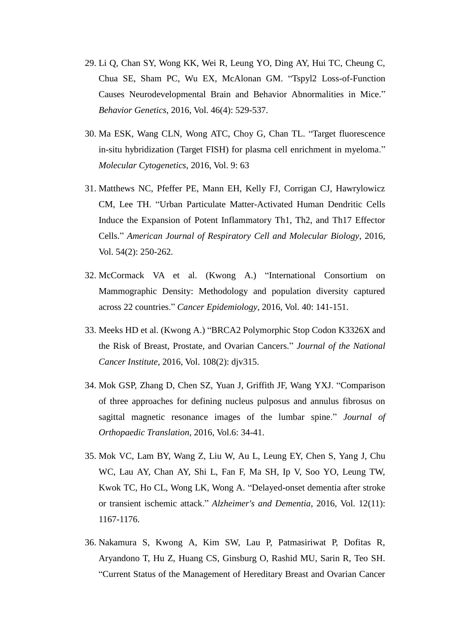- 29. Li Q, Chan SY, Wong KK, Wei R, Leung YO, Ding AY, Hui TC, Cheung C, Chua SE, Sham PC, Wu EX, McAlonan GM. "Tspyl2 Loss-of-Function Causes Neurodevelopmental Brain and Behavior Abnormalities in Mice." *Behavior Genetics*, 2016, Vol. 46(4): 529-537.
- 30. Ma ESK, Wang CLN, Wong ATC, Choy G, Chan TL. "Target fluorescence in-situ hybridization (Target FISH) for plasma cell enrichment in myeloma." *Molecular Cytogenetics*, 2016, Vol. 9: 63
- 31. Matthews NC, Pfeffer PE, Mann EH, Kelly FJ, Corrigan CJ, Hawrylowicz CM, Lee TH. "Urban Particulate Matter-Activated Human Dendritic Cells Induce the Expansion of Potent Inflammatory Th1, Th2, and Th17 Effector Cells." *American Journal of Respiratory Cell and Molecular Biology*, 2016, Vol. 54(2): 250-262.
- 32. McCormack VA et al. (Kwong A.) "International Consortium on Mammographic Density: Methodology and population diversity captured across 22 countries." *Cancer Epidemiology*, 2016, Vol. 40: 141-151.
- 33. Meeks HD et al. (Kwong A.) "BRCA2 Polymorphic Stop Codon K3326X and the Risk of Breast, Prostate, and Ovarian Cancers." *Journal of the National Cancer Institute*, 2016, Vol. 108(2): djv315.
- 34. Mok GSP, Zhang D, Chen SZ, Yuan J, Griffith JF, Wang YXJ. "Comparison of three approaches for defining nucleus pulposus and annulus fibrosus on sagittal magnetic resonance images of the lumbar spine." *Journal of Orthopaedic Translation*, 2016, Vol.6: 34-41.
- 35. Mok VC, Lam BY, Wang Z, Liu W, Au L, Leung EY, Chen S, Yang J, Chu WC, Lau AY, Chan AY, Shi L, Fan F, Ma SH, Ip V, Soo YO, Leung TW, Kwok TC, Ho CL, Wong LK, Wong A. "Delayed-onset dementia after stroke or transient ischemic attack." *Alzheimer's and Dementia*, 2016, Vol. 12(11): 1167-1176.
- 36. Nakamura S, Kwong A, Kim SW, Lau P, Patmasiriwat P, Dofitas R, Aryandono T, Hu Z, Huang CS, Ginsburg O, Rashid MU, Sarin R, Teo SH. "Current Status of the Management of Hereditary Breast and Ovarian Cancer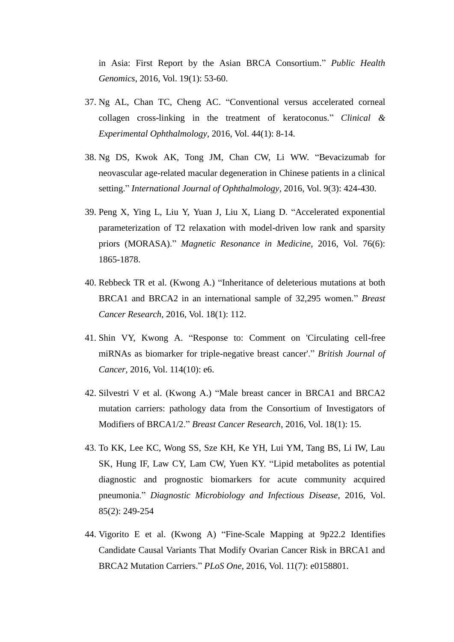in Asia: First Report by the Asian BRCA Consortium." *Public Health Genomics*, 2016, Vol. 19(1): 53-60.

- 37. Ng AL, Chan TC, Cheng AC. "Conventional versus accelerated corneal collagen cross-linking in the treatment of keratoconus." *Clinical & Experimental Ophthalmology*, 2016, Vol. 44(1): 8-14.
- 38. Ng DS, Kwok AK, Tong JM, Chan CW, Li WW. "Bevacizumab for neovascular age-related macular degeneration in Chinese patients in a clinical setting." *International Journal of Ophthalmology*, 2016, Vol. 9(3): 424-430.
- 39. Peng X, Ying L, Liu Y, Yuan J, Liu X, Liang D. "Accelerated exponential parameterization of T2 relaxation with model-driven low rank and sparsity priors (MORASA)." *Magnetic Resonance in Medicine*, 2016, Vol. 76(6): 1865-1878.
- 40. Rebbeck TR et al. (Kwong A.) "Inheritance of deleterious mutations at both BRCA1 and BRCA2 in an international sample of 32,295 women." *Breast Cancer Research*, 2016, Vol. 18(1): 112.
- 41. Shin VY, Kwong A. "Response to: Comment on 'Circulating cell-free miRNAs as biomarker for triple-negative breast cancer'." *British Journal of Cancer*, 2016, Vol. 114(10): e6.
- 42. Silvestri V et al. (Kwong A.) "Male breast cancer in BRCA1 and BRCA2 mutation carriers: pathology data from the Consortium of Investigators of Modifiers of BRCA1/2." *Breast Cancer Research*, 2016, Vol. 18(1): 15.
- 43. To KK, Lee KC, Wong SS, Sze KH, Ke YH, Lui YM, Tang BS, Li IW, Lau SK, Hung IF, Law CY, Lam CW, Yuen KY. "Lipid metabolites as potential diagnostic and prognostic biomarkers for acute community acquired pneumonia." *Diagnostic Microbiology and Infectious Disease*, 2016, Vol. 85(2): 249-254
- 44. Vigorito E et al. (Kwong A) "Fine-Scale Mapping at 9p22.2 Identifies Candidate Causal Variants That Modify Ovarian Cancer Risk in BRCA1 and BRCA2 Mutation Carriers." *PLoS One*, 2016, Vol. 11(7): e0158801.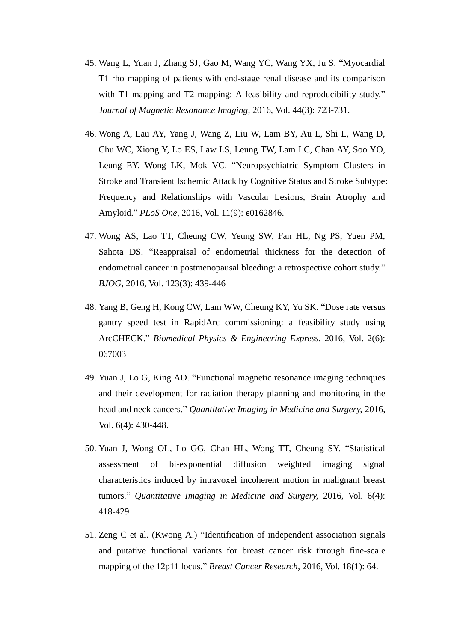- 45. Wang L, Yuan J, Zhang SJ, Gao M, Wang YC, Wang YX, Ju S. "Myocardial T1 rho mapping of patients with end-stage renal disease and its comparison with T1 mapping and T2 mapping: A feasibility and reproducibility study." *Journal of Magnetic Resonance Imaging*, 2016, Vol. 44(3): 723-731.
- 46. Wong A, Lau AY, Yang J, Wang Z, Liu W, Lam BY, Au L, Shi L, Wang D, Chu WC, Xiong Y, Lo ES, Law LS, Leung TW, Lam LC, Chan AY, Soo YO, Leung EY, Wong LK, Mok VC. "Neuropsychiatric Symptom Clusters in Stroke and Transient Ischemic Attack by Cognitive Status and Stroke Subtype: Frequency and Relationships with Vascular Lesions, Brain Atrophy and Amyloid." *PLoS One*, 2016, Vol. 11(9): e0162846.
- 47. Wong AS, Lao TT, Cheung CW, Yeung SW, Fan HL, Ng PS, Yuen PM, Sahota DS. "Reappraisal of endometrial thickness for the detection of endometrial cancer in postmenopausal bleeding: a retrospective cohort study." *BJOG*, 2016, Vol. 123(3): 439-446
- 48. Yang B, Geng H, Kong CW, Lam WW, Cheung KY, Yu SK. "Dose rate versus gantry speed test in RapidArc commissioning: a feasibility study using ArcCHECK." *Biomedical Physics & Engineering Express*, 2016, Vol. 2(6): 067003
- 49. Yuan J, Lo G, King AD. "Functional magnetic resonance imaging techniques and their development for radiation therapy planning and monitoring in the head and neck cancers." *Quantitative Imaging in Medicine and Surgery,* 2016, Vol. 6(4): 430-448.
- 50. Yuan J, Wong OL, Lo GG, Chan HL, Wong TT, Cheung SY. "Statistical assessment of bi-exponential diffusion weighted imaging signal characteristics induced by intravoxel incoherent motion in malignant breast tumors." *Quantitative Imaging in Medicine and Surgery,* 2016, Vol. 6(4): 418-429
- 51. Zeng C et al. (Kwong A.) "Identification of independent association signals and putative functional variants for breast cancer risk through fine-scale mapping of the 12p11 locus." *Breast Cancer Research*, 2016, Vol. 18(1): 64.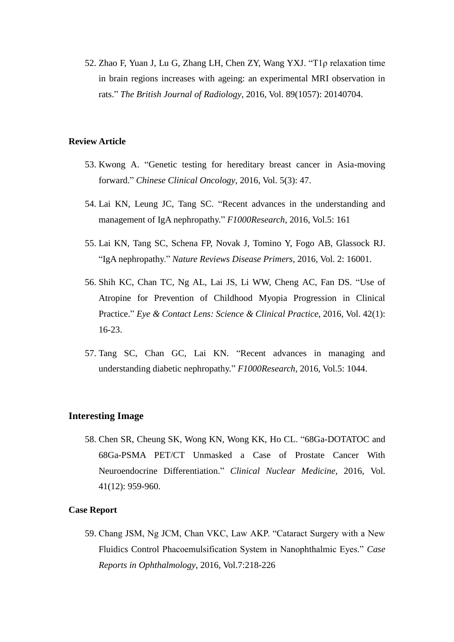52. Zhao F, Yuan J, Lu G, Zhang LH, Chen ZY, Wang YXJ. "T1ρ relaxation time in brain regions increases with ageing: an experimental MRI observation in rats." *The British Journal of Radiology*, 2016, Vol. 89(1057): 20140704.

## **Review Article**

- 53. Kwong A. "Genetic testing for hereditary breast cancer in Asia-moving forward." *Chinese Clinical Oncology*, 2016, Vol. 5(3): 47.
- 54. Lai KN, Leung JC, Tang SC. "Recent advances in the understanding and management of IgA nephropathy." *F1000Research*, 2016, Vol.5: 161
- 55. Lai KN, Tang SC, Schena FP, Novak J, Tomino Y, Fogo AB, Glassock RJ. "IgA nephropathy." *Nature Reviews Disease Primers*, 2016, Vol. 2: 16001.
- 56. Shih KC, Chan TC, Ng AL, Lai JS, Li WW, Cheng AC, Fan DS. "Use of Atropine for Prevention of Childhood Myopia Progression in Clinical Practice." *Eye & Contact Lens: Science & Clinical Practice*, 2016, Vol. 42(1): 16-23.
- 57. Tang SC, Chan GC, Lai KN. "Recent advances in managing and understanding diabetic nephropathy." *F1000Research*, 2016, Vol.5: 1044.

## **Interesting Image**

58. Chen SR, Cheung SK, Wong KN, Wong KK, Ho CL. "68Ga-DOTATOC and 68Ga-PSMA PET/CT Unmasked a Case of Prostate Cancer With Neuroendocrine Differentiation." *Clinical Nuclear Medicine*, 2016, Vol. 41(12): 959-960.

#### **Case Report**

59. Chang JSM, Ng JCM, Chan VKC, Law AKP. "Cataract Surgery with a New Fluidics Control Phacoemulsification System in Nanophthalmic Eyes." *Case Reports in Ophthalmology*, 2016, Vol.7:218-226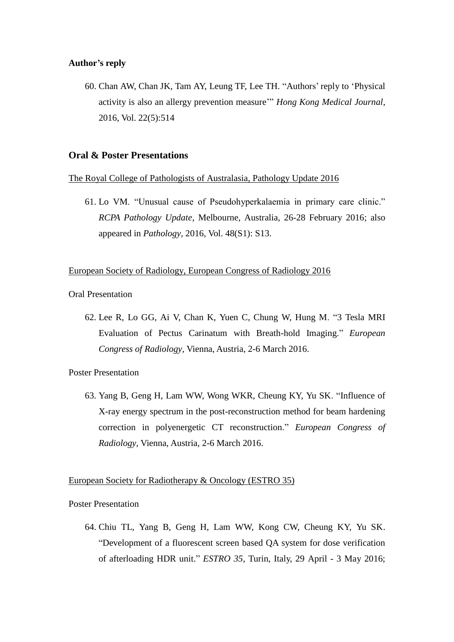#### **Author's reply**

60. Chan AW, Chan JK, Tam AY, Leung TF, Lee TH. "Authors' reply to 'Physical activity is also an allergy prevention measure'" *Hong Kong Medical Journal*, 2016, Vol. 22(5):514

## **Oral & Poster Presentations**

#### The Royal College of Pathologists of Australasia, Pathology Update 2016

61. Lo VM. "Unusual cause of Pseudohyperkalaemia in primary care clinic." *RCPA Pathology Update*, Melbourne, Australia, 26-28 February 2016; also appeared in *Pathology*, 2016, Vol. 48(S1): S13.

## European Society of Radiology, European Congress of Radiology 2016

Oral Presentation

62. Lee R, Lo GG, Ai V, Chan K, Yuen C, Chung W, Hung M. "3 Tesla MRI Evaluation of Pectus Carinatum with Breath-hold Imaging." *European Congress of Radiology*, Vienna, Austria, 2-6 March 2016.

#### Poster Presentation

63. Yang B, Geng H, Lam WW, Wong WKR, Cheung KY, Yu SK. "Influence of X-ray energy spectrum in the post-reconstruction method for beam hardening correction in polyenergetic CT reconstruction." *European Congress of Radiology*, Vienna, Austria, 2-6 March 2016.

## European Society for Radiotherapy & Oncology (ESTRO 35)

Poster Presentation

64. Chiu TL, Yang B, Geng H, Lam WW, Kong CW, Cheung KY, Yu SK. "Development of a fluorescent screen based QA system for dose verification of afterloading HDR unit." *ESTRO 35*, Turin, Italy, 29 April - 3 May 2016;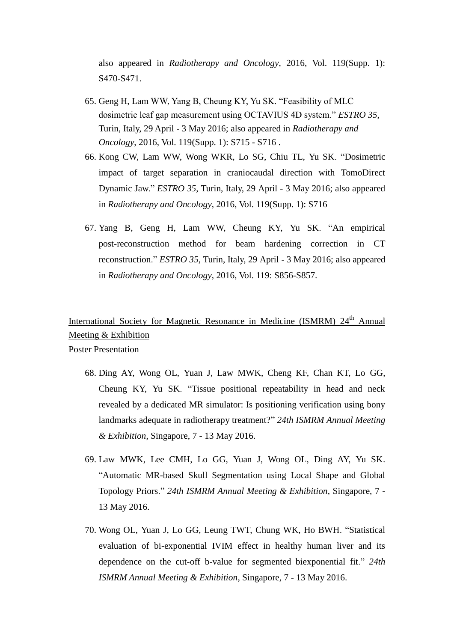also appeared in *Radiotherapy and Oncology*, 2016, Vol. 119(Supp. 1): S470-S471.

- 65. Geng H, Lam WW, Yang B, Cheung KY, Yu SK. "Feasibility of MLC dosimetric leaf gap measurement using OCTAVIUS 4D system." *ESTRO 35*, Turin, Italy, 29 April - 3 May 2016; also appeared in *Radiotherapy and Oncology*, 2016, Vol. 119(Supp. 1): S715 - S716 .
- 66. Kong CW, Lam WW, Wong WKR, Lo SG, Chiu TL, Yu SK. "Dosimetric impact of target separation in craniocaudal direction with TomoDirect Dynamic Jaw." *ESTRO 35*, Turin, Italy, 29 April - 3 May 2016; also appeared in *Radiotherapy and Oncology*, 2016, Vol. 119(Supp. 1): S716
- 67. Yang B, Geng H, Lam WW, Cheung KY, Yu SK. "An empirical post-reconstruction method for beam hardening correction in CT reconstruction." *ESTRO 35*, Turin, Italy, 29 April - 3 May 2016; also appeared in *Radiotherapy and Oncology*, 2016, Vol. 119: S856-S857.

## International Society for Magnetic Resonance in Medicine (ISMRM) 24<sup>th</sup> Annual Meeting & Exhibition

Poster Presentation

- 68. Ding AY, Wong OL, Yuan J, Law MWK, Cheng KF, Chan KT, Lo GG, Cheung KY, Yu SK. "Tissue positional repeatability in head and neck revealed by a dedicated MR simulator: Is positioning verification using bony landmarks adequate in radiotherapy treatment?" *24th ISMRM Annual Meeting & Exhibition*, Singapore, 7 - 13 May 2016.
- 69. Law MWK, Lee CMH, Lo GG, Yuan J, Wong OL, Ding AY, Yu SK. "Automatic MR-based Skull Segmentation using Local Shape and Global Topology Priors." *24th ISMRM Annual Meeting & Exhibition*, Singapore, 7 - 13 May 2016.
- 70. Wong OL, Yuan J, Lo GG, Leung TWT, Chung WK, Ho BWH. "Statistical evaluation of bi-exponential IVIM effect in healthy human liver and its dependence on the cut-off b-value for segmented biexponential fit." *24th ISMRM Annual Meeting & Exhibition*, Singapore, 7 - 13 May 2016.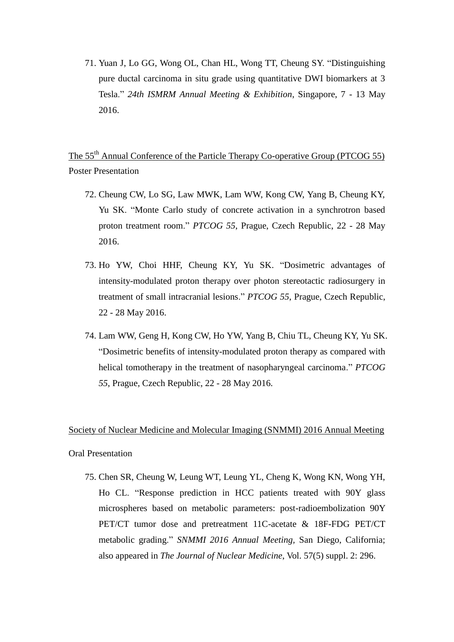71. Yuan J, Lo GG, Wong OL, Chan HL, Wong TT, Cheung SY. "Distinguishing pure ductal carcinoma in situ grade using quantitative DWI biomarkers at 3 Tesla." *24th ISMRM Annual Meeting & Exhibition*, Singapore, 7 - 13 May 2016.

The 55<sup>th</sup> Annual Conference of the Particle Therapy Co-operative Group (PTCOG 55) Poster Presentation

- 72. Cheung CW, Lo SG, Law MWK, Lam WW, Kong CW, Yang B, Cheung KY, Yu SK. "Monte Carlo study of concrete activation in a synchrotron based proton treatment room." *PTCOG 55*, Prague, Czech Republic, 22 - 28 May 2016.
- 73. Ho YW, Choi HHF, Cheung KY, Yu SK. "Dosimetric advantages of intensity-modulated proton therapy over photon stereotactic radiosurgery in treatment of small intracranial lesions." *PTCOG 55*, Prague, Czech Republic, 22 - 28 May 2016.
- 74. Lam WW, Geng H, Kong CW, Ho YW, Yang B, Chiu TL, Cheung KY, Yu SK. "Dosimetric benefits of intensity-modulated proton therapy as compared with helical tomotherapy in the treatment of nasopharyngeal carcinoma." *PTCOG 55*, Prague, Czech Republic, 22 - 28 May 2016.

## Society of Nuclear Medicine and Molecular Imaging (SNMMI) 2016 Annual Meeting

#### Oral Presentation

75. Chen SR, Cheung W, Leung WT, Leung YL, Cheng K, Wong KN, Wong YH, Ho CL. "Response prediction in HCC patients treated with 90Y glass microspheres based on metabolic parameters: post-radioembolization 90Y PET/CT tumor dose and pretreatment 11C-acetate & 18F-FDG PET/CT metabolic grading." *SNMMI 2016 Annual Meeting,* San Diego, California; also appeared in *The Journal of Nuclear Medicine*, Vol. 57(5) suppl. 2: 296.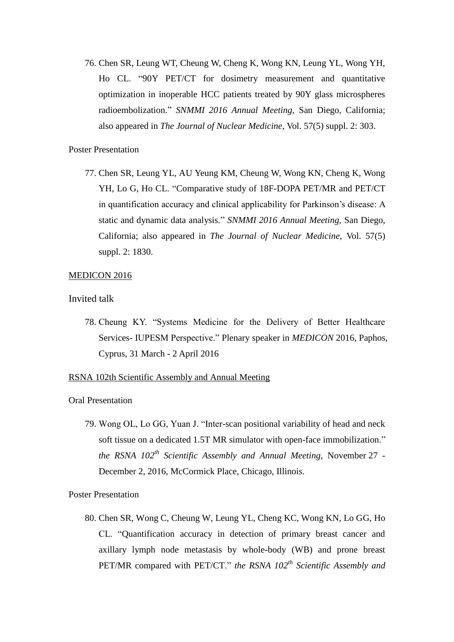76. Chen SR, Leung WT, Cheung W, Cheng K, Wong KN, Leung YL, Wong YH, Ho CL. "90Y PET/CT for dosimetry measurement and quantitative optimization in inoperable HCC patients treated by 90Y glass microspheres radioembolization." *SNMMI 2016 Annual Meeting,* San Diego, California; also appeared in *The Journal of Nuclear Medicine*, Vol. 57(5) suppl. 2: 303.

## Poster Presentation

77. Chen SR, Leung YL, AU Yeung KM, Cheung W, Wong KN, Cheng K, Wong YH, Lo G, Ho CL. "Comparative study of 18F-DOPA PET/MR and PET/CT in quantification accuracy and clinical applicability for Parkinson's disease: A static and dynamic data analysis." *SNMMI 2016 Annual Meeting,* San Diego, California; also appeared in *The Journal of Nuclear Medicine*, Vol. 57(5) suppl. 2: 1830.

#### MEDICON 2016

### Invited talk

78. Cheung KY. "Systems Medicine for the Delivery of Better Healthcare Services- IUPESM Perspective." Plenary speaker in *MEDICON* 2016, Paphos, Cyprus, 31 March - 2 April 2016

#### RSNA 102th Scientific Assembly and Annual Meeting

#### Oral Presentation

79. Wong OL, Lo GG, Yuan J. "Inter-scan positional variability of head and neck soft tissue on a dedicated 1.5T MR simulator with open-face immobilization." *the RSNA 102 th Scientific Assembly and Annual Meeting*, November 27 - December 2, 2016, McCormick Place, Chicago, Illinois.

#### Poster Presentation

80. Chen SR, Wong C, Cheung W, Leung YL, Cheng KC, Wong KN, Lo GG, Ho CL. "Quantification accuracy in detection of primary breast cancer and axillary lymph node metastasis by whole-body (WB) and prone breast PET/MR compared with PET/CT." the RSNA 102<sup>th</sup> Scientific Assembly and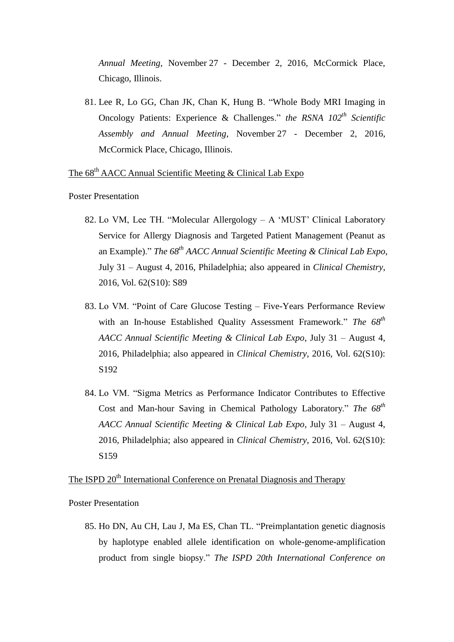*Annual Meeting*, November 27 - December 2, 2016, McCormick Place, Chicago, Illinois.

81. Lee R, Lo GG, Chan JK, Chan K, Hung B. "Whole Body MRI Imaging in Oncology Patients: Experience & Challenges." *the RSNA 102 th Scientific Assembly and Annual Meeting*, November 27 - December 2, 2016, McCormick Place, Chicago, Illinois.

The 68<sup>th</sup> AACC Annual Scientific Meeting & Clinical Lab Expo

Poster Presentation

- 82. Lo VM, Lee TH. "Molecular Allergology A 'MUST' Clinical Laboratory Service for Allergy Diagnosis and Targeted Patient Management (Peanut as an Example)." *The 68th AACC Annual Scientific Meeting & Clinical Lab Expo*, July 31 – August 4, 2016, Philadelphia; also appeared in *Clinical Chemistry*, 2016, Vol. 62(S10): S89
- 83. Lo VM. "Point of Care Glucose Testing Five-Years Performance Review with an In-house Established Quality Assessment Framework." *The 68th AACC Annual Scientific Meeting & Clinical Lab Expo*, July 31 – August 4, 2016, Philadelphia; also appeared in *Clinical Chemistry*, 2016, Vol. 62(S10): S192
- 84. Lo VM. "Sigma Metrics as Performance Indicator Contributes to Effective Cost and Man-hour Saving in Chemical Pathology Laboratory." *The 68th AACC Annual Scientific Meeting & Clinical Lab Expo*, July 31 – August 4, 2016, Philadelphia; also appeared in *Clinical Chemistry*, 2016, Vol. 62(S10): S159

The ISPD 20<sup>th</sup> International Conference on Prenatal Diagnosis and Therapy

Poster Presentation

85. Ho DN, Au CH, Lau J, Ma ES, Chan TL. "Preimplantation genetic diagnosis by haplotype enabled allele identification on whole-genome-amplification product from single biopsy." *The ISPD 20th International Conference on*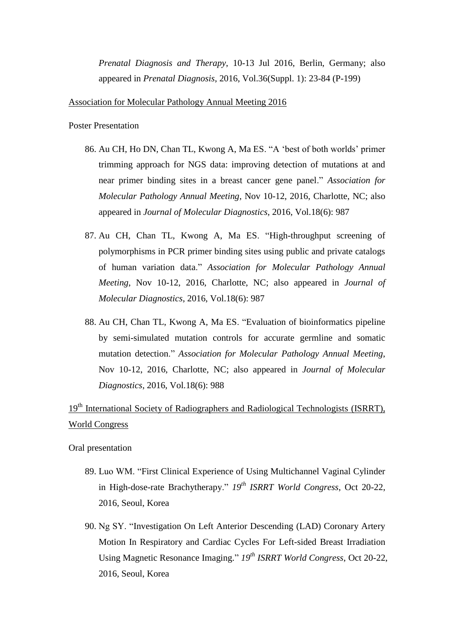*Prenatal Diagnosis and Therapy*, 10-13 Jul 2016, Berlin, Germany; also appeared in *Prenatal Diagnosis*, 2016, Vol.36(Suppl. 1): 23-84 (P-199)

Association for Molecular Pathology Annual Meeting 2016

Poster Presentation

- 86. Au CH, Ho DN, Chan TL, Kwong A, Ma ES. "A 'best of both worlds' primer trimming approach for NGS data: improving detection of mutations at and near primer binding sites in a breast cancer gene panel." *Association for Molecular Pathology Annual Meeting*, Nov 10-12, 2016, Charlotte, NC; also appeared in *Journal of Molecular Diagnostics*, 2016, Vol.18(6): 987
- 87. Au CH, Chan TL, Kwong A, Ma ES. "High-throughput screening of polymorphisms in PCR primer binding sites using public and private catalogs of human variation data." *Association for Molecular Pathology Annual Meeting*, Nov 10-12, 2016, Charlotte, NC; also appeared in *Journal of Molecular Diagnostics*, 2016, Vol.18(6): 987
- 88. Au CH, Chan TL, Kwong A, Ma ES. "Evaluation of bioinformatics pipeline by semi-simulated mutation controls for accurate germline and somatic mutation detection." *Association for Molecular Pathology Annual Meeting*, Nov 10-12, 2016, Charlotte, NC; also appeared in *Journal of Molecular Diagnostics*, 2016, Vol.18(6): 988

## 19<sup>th</sup> International Society of Radiographers and Radiological Technologists (ISRRT), World Congress

Oral presentation

- 89. Luo WM. "First Clinical Experience of Using Multichannel Vaginal Cylinder in High-dose-rate Brachytherapy." *19th ISRRT World Congress*, Oct 20-22, 2016, Seoul, Korea
- 90. Ng SY. "Investigation On Left Anterior Descending (LAD) Coronary Artery Motion In Respiratory and Cardiac Cycles For Left-sided Breast Irradiation Using Magnetic Resonance Imaging." *19th ISRRT World Congress*, Oct 20-22, 2016, Seoul, Korea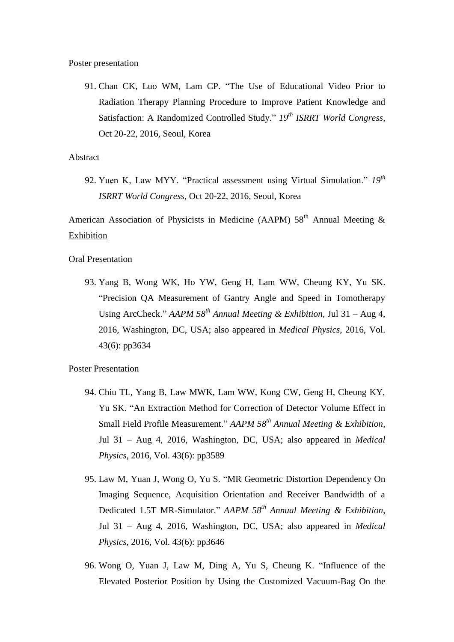Poster presentation

91. Chan CK, Luo WM, Lam CP. "The Use of Educational Video Prior to Radiation Therapy Planning Procedure to Improve Patient Knowledge and Satisfaction: A Randomized Controlled Study." *19th ISRRT World Congress*, Oct 20-22, 2016, Seoul, Korea

### Abstract

92. Yuen K, Law MYY. "Practical assessment using Virtual Simulation." *19th ISRRT World Congress*, Oct 20-22, 2016, Seoul, Korea

American Association of Physicists in Medicine (AAPM)  $58<sup>th</sup>$  Annual Meeting & Exhibition

Oral Presentation

93. Yang B, Wong WK, Ho YW, Geng H, Lam WW, Cheung KY, Yu SK. "Precision QA Measurement of Gantry Angle and Speed in Tomotherapy Using ArcCheck." *AAPM 58th Annual Meeting & Exhibition*, Jul 31 – Aug 4, 2016, Washington, DC, USA; also appeared in *Medical Physics*, 2016, Vol. 43(6): pp3634

Poster Presentation

- 94. Chiu TL, Yang B, Law MWK, Lam WW, Kong CW, Geng H, Cheung KY, Yu SK. "An Extraction Method for Correction of Detector Volume Effect in Small Field Profile Measurement." *AAPM 58th Annual Meeting & Exhibition*, Jul 31 – Aug 4, 2016, Washington, DC, USA; also appeared in *Medical Physics*, 2016, Vol. 43(6): pp3589
- 95. Law M, Yuan J, Wong O, Yu S. "MR Geometric Distortion Dependency On Imaging Sequence, Acquisition Orientation and Receiver Bandwidth of a Dedicated 1.5T MR-Simulator." *AAPM 58th Annual Meeting & Exhibition*, Jul 31 – Aug 4, 2016, Washington, DC, USA; also appeared in *Medical Physics*, 2016, Vol. 43(6): pp3646
- 96. Wong O, Yuan J, Law M, Ding A, Yu S, Cheung K. "Influence of the Elevated Posterior Position by Using the Customized Vacuum-Bag On the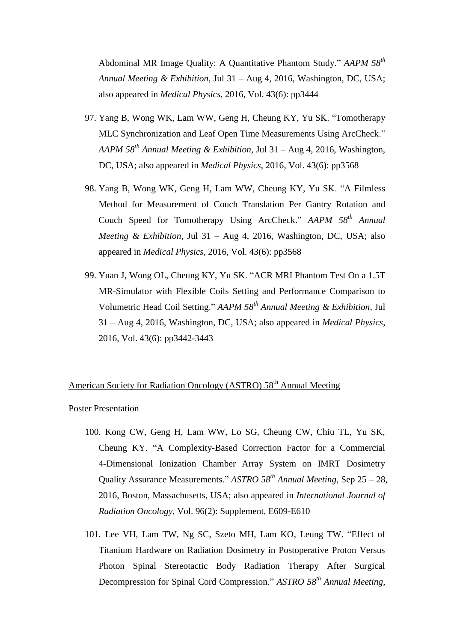Abdominal MR Image Quality: A Quantitative Phantom Study." *AAPM 58th Annual Meeting & Exhibition*, Jul 31 – Aug 4, 2016, Washington, DC, USA; also appeared in *Medical Physics*, 2016, Vol. 43(6): pp3444

- 97. Yang B, Wong WK, Lam WW, Geng H, Cheung KY, Yu SK. "Tomotherapy MLC Synchronization and Leaf Open Time Measurements Using ArcCheck." *AAPM 58th Annual Meeting & Exhibition*, Jul 31 – Aug 4, 2016, Washington, DC, USA; also appeared in *Medical Physics*, 2016, Vol. 43(6): pp3568
- 98. Yang B, Wong WK, Geng H, Lam WW, Cheung KY, Yu SK. "A Filmless Method for Measurement of Couch Translation Per Gantry Rotation and Couch Speed for Tomotherapy Using ArcCheck." *AAPM 58th Annual Meeting & Exhibition*, Jul 31 – Aug 4, 2016, Washington, DC, USA; also appeared in *Medical Physics*, 2016, Vol. 43(6): pp3568
- 99. Yuan J, Wong OL, Cheung KY, Yu SK. "ACR MRI Phantom Test On a 1.5T MR-Simulator with Flexible Coils Setting and Performance Comparison to Volumetric Head Coil Setting." *AAPM 58th Annual Meeting & Exhibition*, Jul 31 – Aug 4, 2016, Washington, DC, USA; also appeared in *Medical Physics*, 2016, Vol. 43(6): pp3442-3443

## American Society for Radiation Oncology (ASTRO) 58<sup>th</sup> Annual Meeting

Poster Presentation

- 100. Kong CW, Geng H, Lam WW, Lo SG, Cheung CW, Chiu TL, Yu SK, Cheung KY. "A Complexity-Based Correction Factor for a Commercial 4-Dimensional Ionization Chamber Array System on IMRT Dosimetry Quality Assurance Measurements." *ASTRO 58th Annual Meeting*, Sep 25 – 28, 2016, Boston, Massachusetts, USA; also appeared in *International Journal of Radiation Oncology*, Vol. 96(2): Supplement, E609-E610
- 101. Lee VH, Lam TW, Ng SC, Szeto MH, Lam KO, Leung TW. "Effect of Titanium Hardware on Radiation Dosimetry in Postoperative Proton Versus Photon Spinal Stereotactic Body Radiation Therapy After Surgical Decompression for Spinal Cord Compression." *ASTRO 58th Annual Meeting*,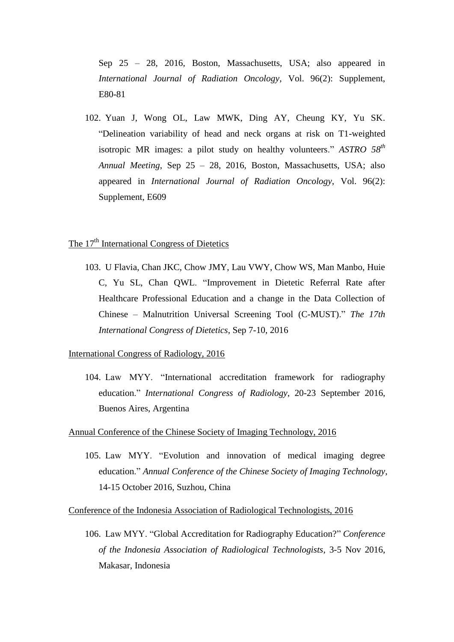Sep 25 – 28, 2016, Boston, Massachusetts, USA; also appeared in *International Journal of Radiation Oncology*, Vol. 96(2): Supplement, E80-81

102. Yuan J, Wong OL, Law MWK, Ding AY, Cheung KY, Yu SK. "Delineation variability of head and neck organs at risk on T1-weighted isotropic MR images: a pilot study on healthy volunteers." *ASTRO 58th Annual Meeting*, Sep 25 – 28, 2016, Boston, Massachusetts, USA; also appeared in *International Journal of Radiation Oncology*, Vol. 96(2): Supplement, E609

## The 17<sup>th</sup> International Congress of Dietetics

103. U Flavia, Chan JKC, Chow JMY, Lau VWY, Chow WS, Man Manbo, Huie C, Yu SL, Chan QWL. "Improvement in Dietetic Referral Rate after Healthcare Professional Education and a change in the Data Collection of Chinese – Malnutrition Universal Screening Tool (C-MUST)." *The 17th International Congress of Dietetics*, Sep 7-10, 2016

#### International Congress of Radiology, 2016

104. Law MYY. "International accreditation framework for radiography education." *International Congress of Radiology*, 20-23 September 2016, Buenos Aires, Argentina

#### Annual Conference of the Chinese Society of Imaging Technology, 2016

105. Law MYY. "Evolution and innovation of medical imaging degree education." *Annual Conference of the Chinese Society of Imaging Technology*, 14-15 October 2016, Suzhou, China

Conference of the Indonesia Association of Radiological Technologists, 2016

106. Law MYY. "Global Accreditation for Radiography Education?" *Conference of the Indonesia Association of Radiological Technologists*, 3-5 Nov 2016, Makasar, Indonesia